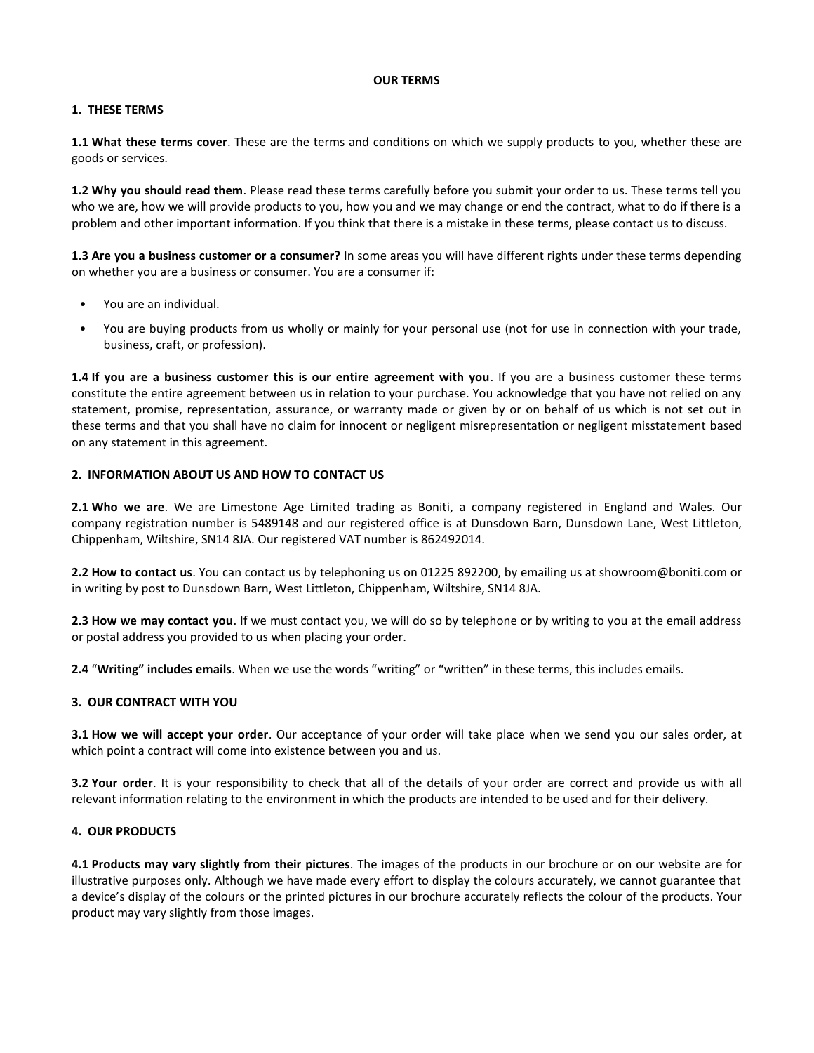#### **OUR TERMS**

# **1. THESE TERMS**

**1.1 What these terms cover**. These are the terms and conditions on which we supply products to you, whether these are goods or services.

**1.2 Why you should read them**. Please read these terms carefully before you submit your order to us. These terms tell you who we are, how we will provide products to you, how you and we may change or end the contract, what to do if there is a problem and other important information. If you think that there is a mistake in these terms, please contact us to discuss.

**1.3 Are you a business customer or a consumer?** In some areas you will have different rights under these terms depending on whether you are a business or consumer. You are a consumer if:

- You are an individual.
- You are buying products from us wholly or mainly for your personal use (not for use in connection with your trade, business, craft, or profession).

**1.4 If you are a business customer this is our entire agreement with you**. If you are a business customer these terms constitute the entire agreement between us in relation to your purchase. You acknowledge that you have not relied on any statement, promise, representation, assurance, or warranty made or given by or on behalf of us which is not set out in these terms and that you shall have no claim for innocent or negligent misrepresentation or negligent misstatement based on any statement in this agreement.

# **2. INFORMATION ABOUT US AND HOW TO CONTACT US**

**2.1 Who we are**. We are Limestone Age Limited trading as Boniti, a company registered in England and Wales. Our company registration number is 5489148 and our registered office is at Dunsdown Barn, Dunsdown Lane, West Littleton, Chippenham, Wiltshire, SN14 8JA. Our registered VAT number is 862492014.

**2.2 How to contact us**. You can contact us by telephoning us on 01225 892200, by emailing us at showroom@boniti.com or in writing by post to Dunsdown Barn, West Littleton, Chippenham, Wiltshire, SN14 8JA.

**2.3 How we may contact you**. If we must contact you, we will do so by telephone or by writing to you at the email address or postal address you provided to us when placing your order.

**2.4** "**Writing" includes emails**. When we use the words "writing" or "written" in these terms, this includes emails.

# **3. OUR CONTRACT WITH YOU**

**3.1 How we will accept your order**. Our acceptance of your order will take place when we send you our sales order, at which point a contract will come into existence between you and us.

**3.2 Your order**. It is your responsibility to check that all of the details of your order are correct and provide us with all relevant information relating to the environment in which the products are intended to be used and for their delivery.

# **4. OUR PRODUCTS**

**4.1 Products may vary slightly from their pictures**. The images of the products in our brochure or on our website are for illustrative purposes only. Although we have made every effort to display the colours accurately, we cannot guarantee that a device's display of the colours or the printed pictures in our brochure accurately reflects the colour of the products. Your product may vary slightly from those images.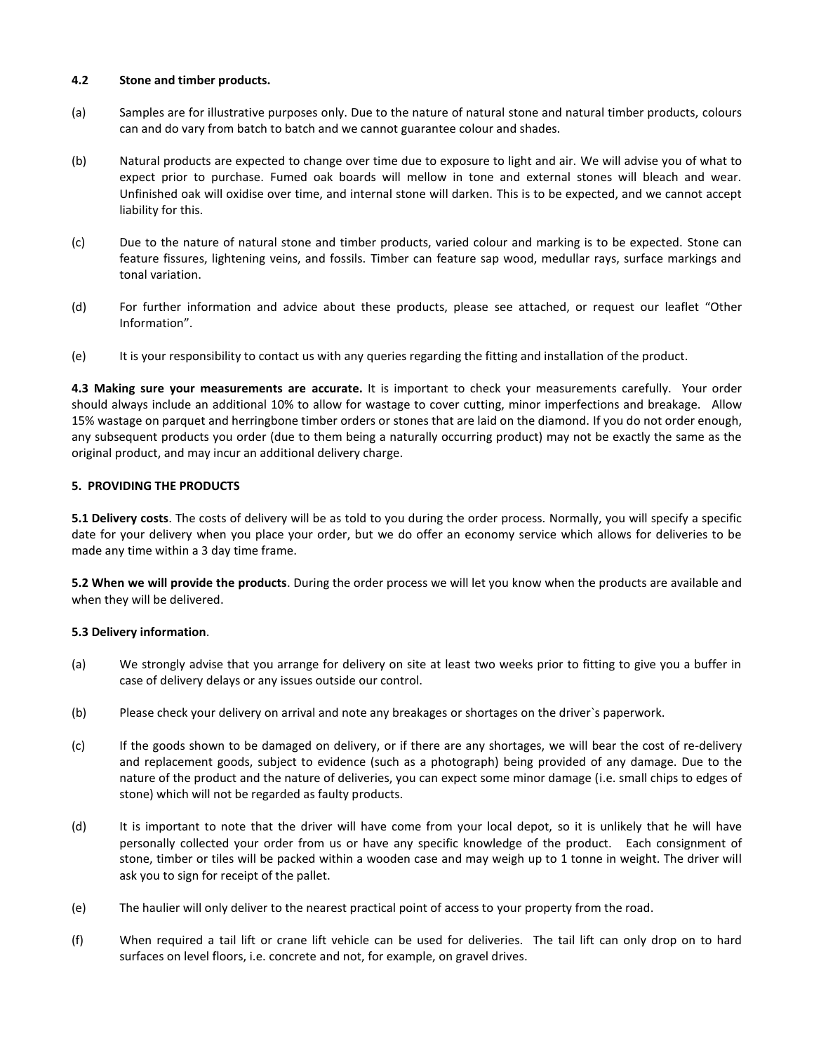#### **4.2 Stone and timber products.**

- (a) Samples are for illustrative purposes only. Due to the nature of natural stone and natural timber products, colours can and do vary from batch to batch and we cannot guarantee colour and shades.
- (b) Natural products are expected to change over time due to exposure to light and air. We will advise you of what to expect prior to purchase. Fumed oak boards will mellow in tone and external stones will bleach and wear. Unfinished oak will oxidise over time, and internal stone will darken. This is to be expected, and we cannot accept liability for this.
- (c) Due to the nature of natural stone and timber products, varied colour and marking is to be expected. Stone can feature fissures, lightening veins, and fossils. Timber can feature sap wood, medullar rays, surface markings and tonal variation.
- (d) For further information and advice about these products, please see attached, or request our leaflet "Other Information".
- (e) It is your responsibility to contact us with any queries regarding the fitting and installation of the product.

**4.3 Making sure your measurements are accurate.** It is important to check your measurements carefully. Your order should always include an additional 10% to allow for wastage to cover cutting, minor imperfections and breakage. Allow 15% wastage on parquet and herringbone timber orders or stones that are laid on the diamond. If you do not order enough, any subsequent products you order (due to them being a naturally occurring product) may not be exactly the same as the original product, and may incur an additional delivery charge.

# **5. PROVIDING THE PRODUCTS**

**5.1 Delivery costs**. The costs of delivery will be as told to you during the order process. Normally, you will specify a specific date for your delivery when you place your order, but we do offer an economy service which allows for deliveries to be made any time within a 3 day time frame.

**5.2 When we will provide the products**. During the order process we will let you know when the products are available and when they will be delivered.

# **5.3 Delivery information**.

- (a) We strongly advise that you arrange for delivery on site at least two weeks prior to fitting to give you a buffer in case of delivery delays or any issues outside our control.
- (b) Please check your delivery on arrival and note any breakages or shortages on the driver`s paperwork.
- (c) If the goods shown to be damaged on delivery, or if there are any shortages, we will bear the cost of re-delivery and replacement goods, subject to evidence (such as a photograph) being provided of any damage. Due to the nature of the product and the nature of deliveries, you can expect some minor damage (i.e. small chips to edges of stone) which will not be regarded as faulty products.
- (d) It is important to note that the driver will have come from your local depot, so it is unlikely that he will have personally collected your order from us or have any specific knowledge of the product. Each consignment of stone, timber or tiles will be packed within a wooden case and may weigh up to 1 tonne in weight. The driver will ask you to sign for receipt of the pallet.
- (e) The haulier will only deliver to the nearest practical point of access to your property from the road.
- (f) When required a tail lift or crane lift vehicle can be used for deliveries. The tail lift can only drop on to hard surfaces on level floors, i.e. concrete and not, for example, on gravel drives.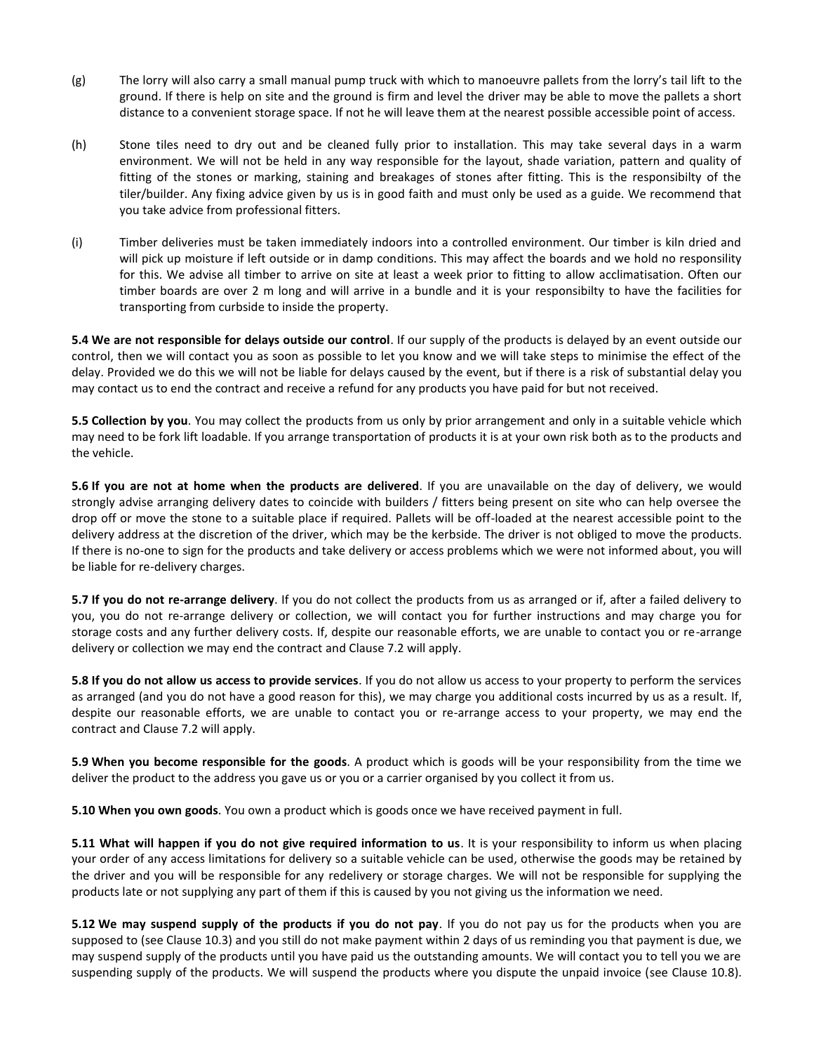- (g) The lorry will also carry a small manual pump truck with which to manoeuvre pallets from the lorry's tail lift to the ground. If there is help on site and the ground is firm and level the driver may be able to move the pallets a short distance to a convenient storage space. If not he will leave them at the nearest possible accessible point of access.
- (h) Stone tiles need to dry out and be cleaned fully prior to installation. This may take several days in a warm environment. We will not be held in any way responsible for the layout, shade variation, pattern and quality of fitting of the stones or marking, staining and breakages of stones after fitting. This is the responsibilty of the tiler/builder. Any fixing advice given by us is in good faith and must only be used as a guide. We recommend that you take advice from professional fitters.
- (i) Timber deliveries must be taken immediately indoors into a controlled environment. Our timber is kiln dried and will pick up moisture if left outside or in damp conditions. This may affect the boards and we hold no responsility for this. We advise all timber to arrive on site at least a week prior to fitting to allow acclimatisation. Often our timber boards are over 2 m long and will arrive in a bundle and it is your responsibilty to have the facilities for transporting from curbside to inside the property.

**5.4 We are not responsible for delays outside our control**. If our supply of the products is delayed by an event outside our control, then we will contact you as soon as possible to let you know and we will take steps to minimise the effect of the delay. Provided we do this we will not be liable for delays caused by the event, but if there is a risk of substantial delay you may contact us to end the contract and receive a refund for any products you have paid for but not received.

**5.5 Collection by you**. You may collect the products from us only by prior arrangement and only in a suitable vehicle which may need to be fork lift loadable. If you arrange transportation of products it is at your own risk both as to the products and the vehicle.

**5.6 If you are not at home when the products are delivered**. If you are unavailable on the day of delivery, we would strongly advise arranging delivery dates to coincide with builders / fitters being present on site who can help oversee the drop off or move the stone to a suitable place if required. Pallets will be off-loaded at the nearest accessible point to the delivery address at the discretion of the driver, which may be the kerbside. The driver is not obliged to move the products. If there is no-one to sign for the products and take delivery or access problems which we were not informed about, you will be liable for re-delivery charges.

**5.7 If you do not re-arrange delivery**. If you do not collect the products from us as arranged or if, after a failed delivery to you, you do not re-arrange delivery or collection, we will contact you for further instructions and may charge you for storage costs and any further delivery costs. If, despite our reasonable efforts, we are unable to contact you or re-arrange delivery or collection we may end the contract and Clause 7.2 will apply.

**5.8 If you do not allow us access to provide services**. If you do not allow us access to your property to perform the services as arranged (and you do not have a good reason for this), we may charge you additional costs incurred by us as a result. If, despite our reasonable efforts, we are unable to contact you or re-arrange access to your property, we may end the contract and Clause 7.2 will apply.

**5.9 When you become responsible for the goods**. A product which is goods will be your responsibility from the time we deliver the product to the address you gave us or you or a carrier organised by you collect it from us.

**5.10 When you own goods**. You own a product which is goods once we have received payment in full.

**5.11 What will happen if you do not give required information to us**. It is your responsibility to inform us when placing your order of any access limitations for delivery so a suitable vehicle can be used, otherwise the goods may be retained by the driver and you will be responsible for any redelivery or storage charges. We will not be responsible for supplying the products late or not supplying any part of them if this is caused by you not giving us the information we need.

**5.12 We may suspend supply of the products if you do not pay**. If you do not pay us for the products when you are supposed to (see Clause 10.3) and you still do not make payment within 2 days of us reminding you that payment is due, we may suspend supply of the products until you have paid us the outstanding amounts. We will contact you to tell you we are suspending supply of the products. We will suspend the products where you dispute the unpaid invoice (see Clause 10.8).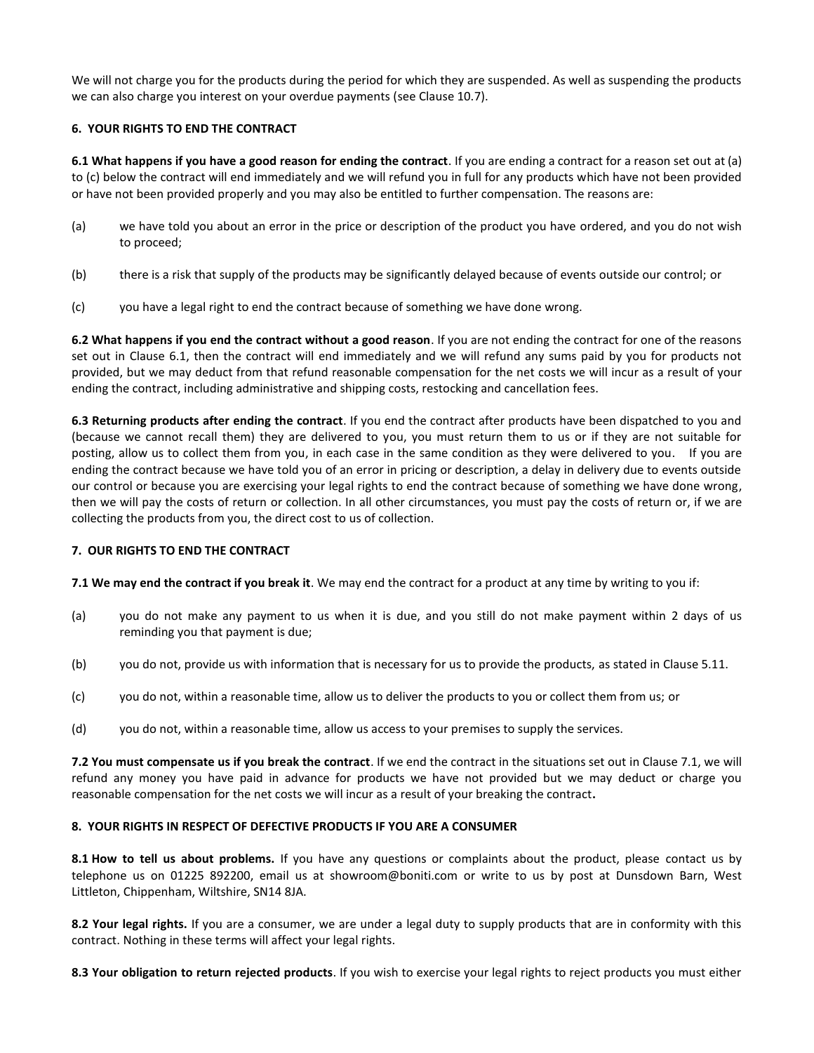We will not charge you for the products during the period for which they are suspended. As well as suspending the products we can also charge you interest on your overdue payments (see Clause 10.7).

# **6. YOUR RIGHTS TO END THE CONTRACT**

**6.1 What happens if you have a good reason for ending the contract**. If you are ending a contract for a reason set out at (a) to (c) below the contract will end immediately and we will refund you in full for any products which have not been provided or have not been provided properly and you may also be entitled to further compensation. The reasons are:

- (a) we have told you about an error in the price or description of the product you have ordered, and you do not wish to proceed;
- (b) there is a risk that supply of the products may be significantly delayed because of events outside our control; or
- (c) you have a legal right to end the contract because of something we have done wrong.

**6.2 What happens if you end the contract without a good reason**. If you are not ending the contract for one of the reasons set out in Clause 6.1, then the contract will end immediately and we will refund any sums paid by you for products not provided, but we may deduct from that refund reasonable compensation for the net costs we will incur as a result of your ending the contract, including administrative and shipping costs, restocking and cancellation fees.

**6.3 Returning products after ending the contract**. If you end the contract after products have been dispatched to you and (because we cannot recall them) they are delivered to you, you must return them to us or if they are not suitable for posting, allow us to collect them from you, in each case in the same condition as they were delivered to you. If you are ending the contract because we have told you of an error in pricing or description, a delay in delivery due to events outside our control or because you are exercising your legal rights to end the contract because of something we have done wrong, then we will pay the costs of return or collection. In all other circumstances, you must pay the costs of return or, if we are collecting the products from you, the direct cost to us of collection.

#### **7. OUR RIGHTS TO END THE CONTRACT**

**7.1 We may end the contract if you break it**. We may end the contract for a product at any time by writing to you if:

- (a) you do not make any payment to us when it is due, and you still do not make payment within 2 days of us reminding you that payment is due;
- (b) you do not, provide us with information that is necessary for us to provide the products, as stated in Clause 5.11.
- (c) you do not, within a reasonable time, allow us to deliver the products to you or collect them from us; or
- (d) you do not, within a reasonable time, allow us access to your premises to supply the services.

**7.2 You must compensate us if you break the contract**. If we end the contract in the situations set out in Clause 7.1, we will refund any money you have paid in advance for products we have not provided but we may deduct or charge you reasonable compensation for the net costs we will incur as a result of your breaking the contract**.**

#### **8. YOUR RIGHTS IN RESPECT OF DEFECTIVE PRODUCTS IF YOU ARE A CONSUMER**

**8.1 How to tell us about problems.** If you have any questions or complaints about the product, please contact us by telephone us on 01225 892200, email us at showroom@boniti.com or write to us by post at Dunsdown Barn, West Littleton, Chippenham, Wiltshire, SN14 8JA.

**8.2 Your legal rights.** If you are a consumer, we are under a legal duty to supply products that are in conformity with this contract. Nothing in these terms will affect your legal rights.

**8.3 Your obligation to return rejected products**. If you wish to exercise your legal rights to reject products you must either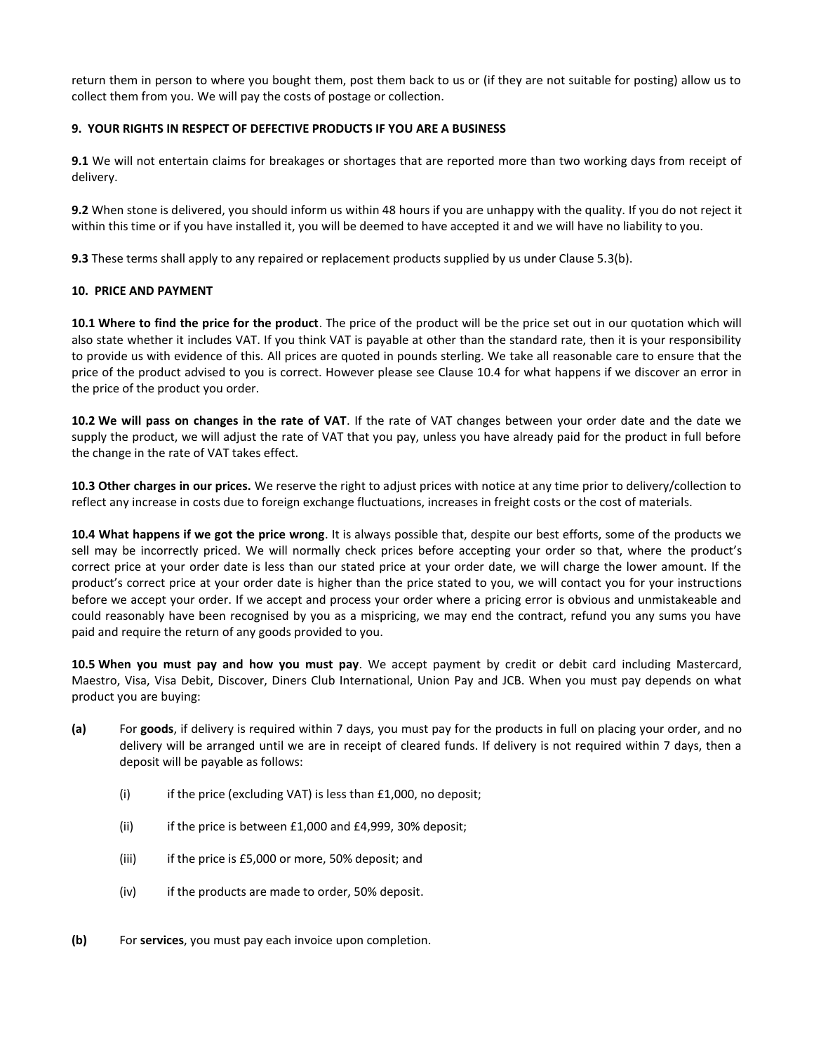return them in person to where you bought them, post them back to us or (if they are not suitable for posting) allow us to collect them from you. We will pay the costs of postage or collection.

## **9. YOUR RIGHTS IN RESPECT OF DEFECTIVE PRODUCTS IF YOU ARE A BUSINESS**

**9.1** We will not entertain claims for breakages or shortages that are reported more than two working days from receipt of delivery.

**9.2** When stone is delivered, you should inform us within 48 hours if you are unhappy with the quality. If you do not reject it within this time or if you have installed it, you will be deemed to have accepted it and we will have no liability to you.

**9.3** These terms shall apply to any repaired or replacement products supplied by us under Clause 5.3(b).

#### **10. PRICE AND PAYMENT**

**10.1 Where to find the price for the product**. The price of the product will be the price set out in our quotation which will also state whether it includes VAT. If you think VAT is payable at other than the standard rate, then it is your responsibility to provide us with evidence of this. All prices are quoted in pounds sterling. We take all reasonable care to ensure that the price of the product advised to you is correct. However please see Clause 10.4 for what happens if we discover an error in the price of the product you order.

**10.2 We will pass on changes in the rate of VAT**. If the rate of VAT changes between your order date and the date we supply the product, we will adjust the rate of VAT that you pay, unless you have already paid for the product in full before the change in the rate of VAT takes effect.

**10.3 Other charges in our prices.** We reserve the right to adjust prices with notice at any time prior to delivery/collection to reflect any increase in costs due to foreign exchange fluctuations, increases in freight costs or the cost of materials.

**10.4 What happens if we got the price wrong**. It is always possible that, despite our best efforts, some of the products we sell may be incorrectly priced. We will normally check prices before accepting your order so that, where the product's correct price at your order date is less than our stated price at your order date, we will charge the lower amount. If the product's correct price at your order date is higher than the price stated to you, we will contact you for your instructions before we accept your order. If we accept and process your order where a pricing error is obvious and unmistakeable and could reasonably have been recognised by you as a mispricing, we may end the contract, refund you any sums you have paid and require the return of any goods provided to you.

**10.5 When you must pay and how you must pay**. We accept payment by credit or debit card including Mastercard, Maestro, Visa, Visa Debit, Discover, Diners Club International, Union Pay and JCB. When you must pay depends on what product you are buying:

- **(a)** For **goods**, if delivery is required within 7 days, you must pay for the products in full on placing your order, and no delivery will be arranged until we are in receipt of cleared funds. If delivery is not required within 7 days, then a deposit will be payable as follows:
	- (i) if the price (excluding VAT) is less than  $£1,000$ , no deposit;
	- (ii) if the price is between  $£1,000$  and  $£4,999$ , 30% deposit;
	- (iii) if the price is £5,000 or more, 50% deposit; and
	- (iv) if the products are made to order, 50% deposit.
- **(b)** For **services**, you must pay each invoice upon completion.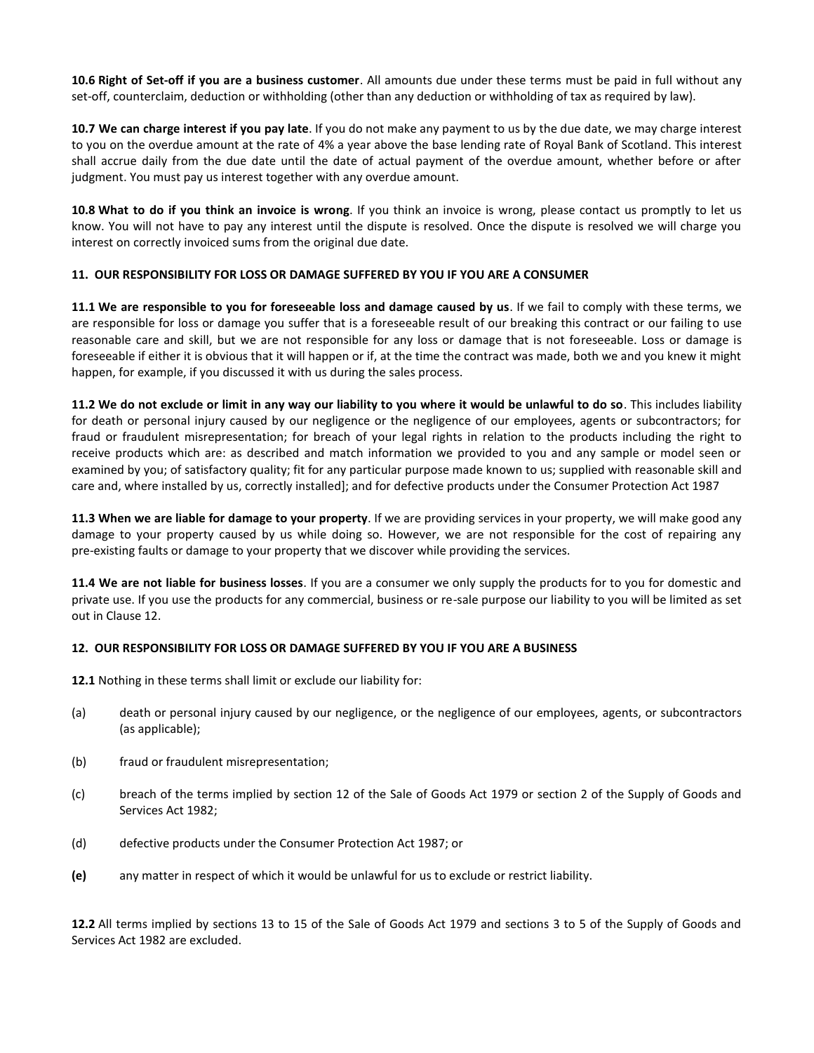**10.6 Right of Set-off if you are a business customer**. All amounts due under these terms must be paid in full without any set-off, counterclaim, deduction or withholding (other than any deduction or withholding of tax as required by law).

**10.7 We can charge interest if you pay late**. If you do not make any payment to us by the due date, we may charge interest to you on the overdue amount at the rate of 4% a year above the base lending rate of Royal Bank of Scotland. This interest shall accrue daily from the due date until the date of actual payment of the overdue amount, whether before or after judgment. You must pay us interest together with any overdue amount.

**10.8 What to do if you think an invoice is wrong**. If you think an invoice is wrong, please contact us promptly to let us know. You will not have to pay any interest until the dispute is resolved. Once the dispute is resolved we will charge you interest on correctly invoiced sums from the original due date.

# **11. OUR RESPONSIBILITY FOR LOSS OR DAMAGE SUFFERED BY YOU IF YOU ARE A CONSUMER**

**11.1 We are responsible to you for foreseeable loss and damage caused by us**. If we fail to comply with these terms, we are responsible for loss or damage you suffer that is a foreseeable result of our breaking this contract or our failing to use reasonable care and skill, but we are not responsible for any loss or damage that is not foreseeable. Loss or damage is foreseeable if either it is obvious that it will happen or if, at the time the contract was made, both we and you knew it might happen, for example, if you discussed it with us during the sales process.

**11.2 We do not exclude or limit in any way our liability to you where it would be unlawful to do so**. This includes liability for death or personal injury caused by our negligence or the negligence of our employees, agents or subcontractors; for fraud or fraudulent misrepresentation; for breach of your legal rights in relation to the products including the right to receive products which are: as described and match information we provided to you and any sample or model seen or examined by you; of satisfactory quality; fit for any particular purpose made known to us; supplied with reasonable skill and care and, where installed by us, correctly installed]; and for defective products under the Consumer Protection Act 1987

**11.3 When we are liable for damage to your property**. If we are providing services in your property, we will make good any damage to your property caused by us while doing so. However, we are not responsible for the cost of repairing any pre-existing faults or damage to your property that we discover while providing the services.

**11.4 We are not liable for business losses**. If you are a consumer we only supply the products for to you for domestic and private use. If you use the products for any commercial, business or re-sale purpose our liability to you will be limited as set out in Clause 12.

# **12. OUR RESPONSIBILITY FOR LOSS OR DAMAGE SUFFERED BY YOU IF YOU ARE A BUSINESS**

**12.1** Nothing in these terms shall limit or exclude our liability for:

- (a) death or personal injury caused by our negligence, or the negligence of our employees, agents, or subcontractors (as applicable);
- (b) fraud or fraudulent misrepresentation;
- (c) breach of the terms implied by section 12 of the Sale of Goods Act 1979 or section 2 of the Supply of Goods and Services Act 1982;
- (d) defective products under the Consumer Protection Act 1987; or
- **(e)** any matter in respect of which it would be unlawful for us to exclude or restrict liability.

**12.2** All terms implied by sections 13 to 15 of the Sale of Goods Act 1979 and sections 3 to 5 of the Supply of Goods and Services Act 1982 are excluded.